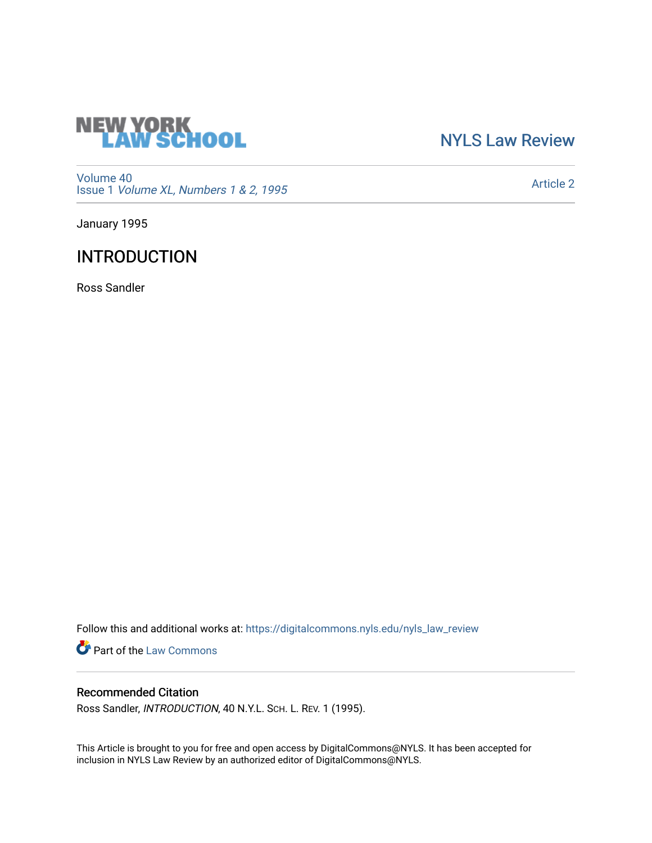

[NYLS Law Review](https://digitalcommons.nyls.edu/nyls_law_review) 

[Volume 40](https://digitalcommons.nyls.edu/nyls_law_review/vol40) Issue 1 [Volume XL, Numbers 1 & 2, 1995](https://digitalcommons.nyls.edu/nyls_law_review/vol40/iss1)

[Article 2](https://digitalcommons.nyls.edu/nyls_law_review/vol40/iss1/2) 

January 1995

## INTRODUCTION

Ross Sandler

Follow this and additional works at: [https://digitalcommons.nyls.edu/nyls\\_law\\_review](https://digitalcommons.nyls.edu/nyls_law_review?utm_source=digitalcommons.nyls.edu%2Fnyls_law_review%2Fvol40%2Fiss1%2F2&utm_medium=PDF&utm_campaign=PDFCoverPages) 

**Part of the [Law Commons](https://network.bepress.com/hgg/discipline/578?utm_source=digitalcommons.nyls.edu%2Fnyls_law_review%2Fvol40%2Fiss1%2F2&utm_medium=PDF&utm_campaign=PDFCoverPages)** 

## Recommended Citation

Ross Sandler, INTRODUCTION, 40 N.Y.L. SCH. L. REV. 1 (1995).

This Article is brought to you for free and open access by DigitalCommons@NYLS. It has been accepted for inclusion in NYLS Law Review by an authorized editor of DigitalCommons@NYLS.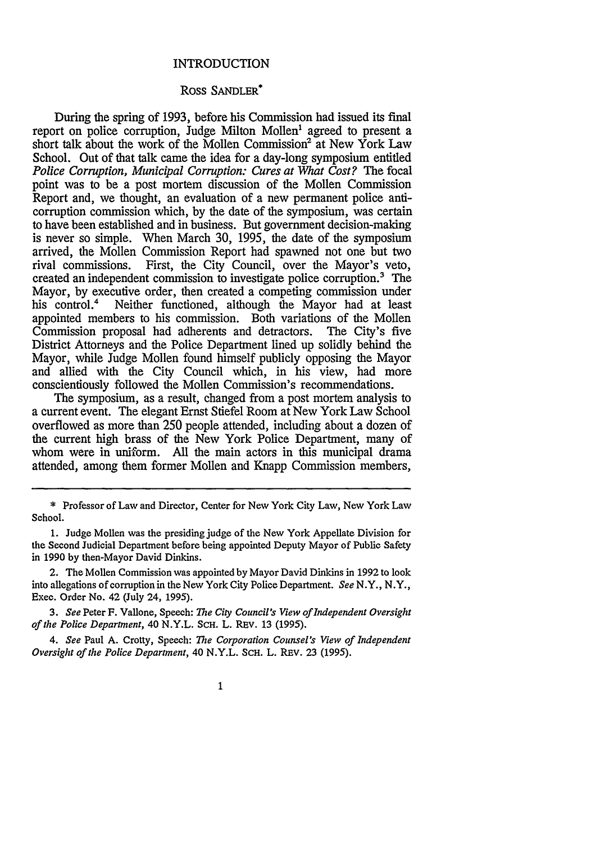## INTRODUCTION

## Ross **SANDLER\***

During the spring of 1993, before his Commission had issued its final report on police corruption, Judge Milton Mollen' agreed to present a short talk about the work of the Mollen Commission<sup>2</sup> at New York Law School. Out of that talk came the idea for a day-long symposium entitled *Police Corruption, Municipal Corruption: Cures at What Cost?* The focal point was to be a post mortem discussion of the Mollen Commission Report and, we thought, an evaluation of a new permanent police anticorruption commission which, **by** the date of the symposium, was certain to have been established and in business. But government decision-making is never so simple. When March 30, 1995, the date of the symposium arrived, the Mollen Commission Report had spawned not one but two rival commissions. First, the City Council, over the Mayor's veto, created an independent commission to investigate police corruption.' The Mayor, by executive order, then created a competing commission under his control.<sup>4</sup> Neither functioned, although the Mayor had at least appointed members to his commission. Both variations of the Mollen Commission proposal had adherents and detractors. The City's five District Attorneys and the Police Department lined up solidly behind the Mayor, while Judge Mollen found himself publicly opposing the Mayor and allied with the City Council which, in his view, had more conscientiously followed the Molien Commission's recommendations.

The symposium, as a result, changed from a post mortem analysis to a current event. The elegant Ernst Stiefel Room at New York Law School overflowed as more than 250 people attended, including about a dozen of the current high brass of the New York Police Department, many of whom were in uniform. All the main actors in this municipal drama attended, among them former Mollen and Knapp Commission members,

\* Professor of Law and Director, Center for New York City Law, New York Law School.

1. Judge Mollen was the presiding judge of the New York Appellate Division for the Second Judicial Department before being appointed Deputy Mayor of Public Safety in 1990 by then-Mayor David Dinkins.

2. The Mollen Commission was appointed by Mayor David Dinkins in 1992 to look into allegations of corruption in the New York City Police Department. *See* N.Y., N.Y., Exec. Order No. 42 (July 24, 1995).

**3.** *See* Peter F. Vallone, Speech: *The City Council's View of Independent Oversight of the Police Department, 40 N.Y.L. SCH. L. REV. 13 (1995).* 

4. *See* Paul A. Crotty, Speech: *The Corporation Counsel's View of Independent Oversight of the Police Department,* 40 N.Y.L. SCH. L. REv. 23 (1995).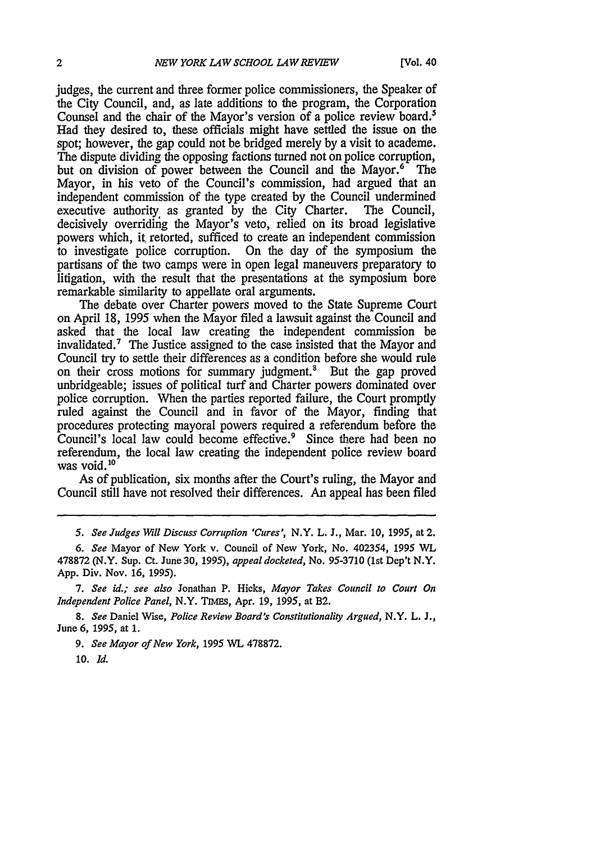judges, the current and three former police commissioners, the Speaker of the City Council, and, as late additions to the program, the Corporation Counsel and the chair of the Mayor's version of a police review board.' Had they desired to, these officials might have settled the issue on the spot; however, the gap could not be bridged merely by a visit to academe. The dispute dividing the opposing factions turned not on police corruption, but on division of power between the Council and the Mayor.<sup>6</sup> The Mayor, in his veto of the Council's commission, had argued that an independent commission of the type created by the Council undermined executive authority as granted by the City Charter. The Council, executive authority as granted by the City Charter. decisively overriding the Mayor's veto, relied on its broad legislative powers which, it, retorted, sufficed to create an independent commission to investigate police corruption. On the day of the symposium the partisans of the two camps were in open legal maneuvers preparatory to litigation, with the result that the presentations at the symposium bore remarkable similarity to appellate oral arguments.

The debate over Charter powers moved to the State Supreme Court on April 18, 1995 when the Mayor filed a lawsuit against the Council and asked that the local law creating the independent commission be invalidated.7 The Justice assigned to the case insisted that the Mayor and Council try to settle their differences as a condition before she would rule on their cross motions for summary judgment.' But the gap proved unbridgeable; issues of political turf and Charter powers dominated over police corruption. When the parties reported failure, the Court promptly ruled against the Council and in favor of the Mayor, finding that procedures protecting mayoral powers required a referendum before the Council's local law could become effective.9 Since there had been no referendum, the local law creating the independent police review board was void. **10**

As of publication, six months after the Court's ruling, the Mayor and Council still have not resolved their differences. An appeal has been filed

*9. See Mayor of New York,* **1995** WL **478872.**

**10.** *Id.*

*<sup>5.</sup> See Judges Will Discuss Corruption 'Cures',* N.Y. L. **J.,** Mar. **10, 1995,** at **2.**

*<sup>6.</sup> See* Mayor of New York v. Council of **New** York, No. 402354, **1995** WL **478872** (N.Y. Sup. Ct. June **30, 1995),** *appeal docketed,* No. **95-3710** (1st Dep't N.Y. **App.** Div. Nov. **16, 1995).**

*<sup>7.</sup> See id.; see also* Jonathan P. Hicks, *Mayor Takes Council to Court On Independent Police Panel,* N.Y. **Tims,** Apr. **19, 1995,** at **B2.**

*<sup>8.</sup> See* Daniel Wise, *Police Review Board's Constitutionality Argued,* N.Y. L. **J.,** June **6, 1995,** at **1.**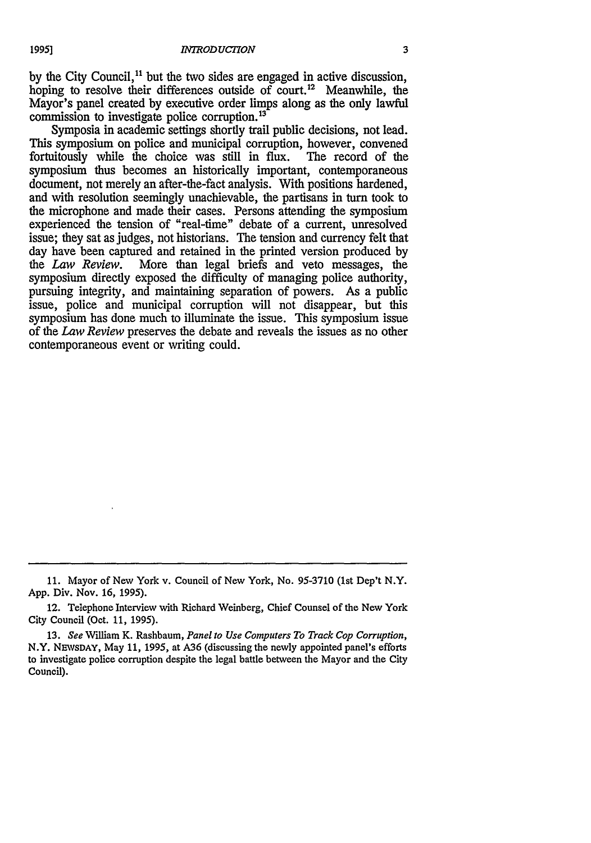by the City Council,<sup>11</sup> but the two sides are engaged in active discussion, hoping to resolve their differences outside of court.<sup>12</sup> Meanwhile, the Mayor's panel created by executive order limps along as the only lawful commission to investigate police corruption. <sup>13</sup>

Symposia in academic settings shortly trail public decisions, not lead. This symposium on police and municipal corruption, however, convened fortuitously while the choice was still in flux. The record of the fortuitously while the choice was still in flux. symposium thus becomes an historically important, contemporaneous document, not merely an after-the-fact analysis. With positions hardened, and with resolution seemingly unachievable, the partisans in turn took to the microphone and made their cases. Persons attending the symposium experienced the tension of "real-time" debate of a current, unresolved issue; they sat as judges, not historians. The tension and currency felt that day have been captured and retained in the printed version produced by the *Law Review*. More than legal briefs and veto messages, the More than legal briefs and veto messages, the symposium directly exposed the difficulty of managing police authority, pursuing integrity, and maintaining separation of powers. As a public issue, police and municipal corruption will not disappear, but this symposium has done much to illuminate the issue. This symposium issue of the *Law Review* preserves the debate and reveals the issues as no other contemporaneous event or writing could.

**<sup>11.</sup>** Mayor of New York v. Council of New York, No. 95-3710 (1st Dep't N.Y. App. Div. Nov. **16,** 1995).

<sup>12.</sup> Telephone Interview with Richard Weinberg, Chief Counsel of the New York City Council (Oct. **11,** 1995).

<sup>13.</sup> *See* William K. Rashbaum, *Panel to Use Computers To Track Cop Corruption,* N.Y. **NEWSDAY,** May **11,** 1995, at A36 (discussing the newly appointed panel's efforts to investigate police corruption despite the legal battle between the Mayor and the City Council).